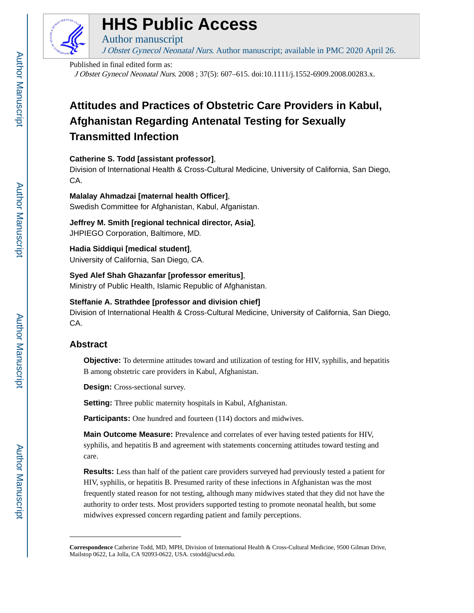

## **HHS Public Access**

Author manuscript J Obstet Gynecol Neonatal Nurs. Author manuscript; available in PMC 2020 April 26.

Published in final edited form as:

J Obstet Gynecol Neonatal Nurs. 2008 ; 37(5): 607–615. doi:10.1111/j.1552-6909.2008.00283.x.

### **Attitudes and Practices of Obstetric Care Providers in Kabul, Afghanistan Regarding Antenatal Testing for Sexually Transmitted Infection**

#### **Catherine S. Todd [assistant professor]**,

Division of International Health & Cross-Cultural Medicine, University of California, San Diego, CA.

#### **Malalay Ahmadzai [maternal health Officer]**,

Swedish Committee for Afghanistan, Kabul, Afganistan.

**Jeffrey M. Smith [regional technical director, Asia]**, JHPIEGO Corporation, Baltimore, MD.

**Hadia Siddiqui [medical student]**,

University of California, San Diego, CA.

**Syed Alef Shah Ghazanfar [professor emeritus]**, Ministry of Public Health, Islamic Republic of Afghanistan.

#### **Steffanie A. Strathdee [professor and division chief]**

Division of International Health & Cross-Cultural Medicine, University of California, San Diego, CA.

#### **Abstract**

**Objective:** To determine attitudes toward and utilization of testing for HIV, syphilis, and hepatitis B among obstetric care providers in Kabul, Afghanistan.

**Design:** Cross-sectional survey.

**Setting:** Three public maternity hospitals in Kabul, Afghanistan.

**Participants:** One hundred and fourteen (114) doctors and midwives.

**Main Outcome Measure:** Prevalence and correlates of ever having tested patients for HIV, syphilis, and hepatitis B and agreement with statements concerning attitudes toward testing and care.

**Results:** Less than half of the patient care providers surveyed had previously tested a patient for HIV, syphilis, or hepatitis B. Presumed rarity of these infections in Afghanistan was the most frequently stated reason for not testing, although many midwives stated that they did not have the authority to order tests. Most providers supported testing to promote neonatal health, but some midwives expressed concern regarding patient and family perceptions.

**Correspondence** Catherine Todd, MD, MPH, Division of International Health & Cross-Cultural Medicine, 9500 Gilman Drive, Mailstop 0622, La Jolla, CA 92093-0622, USA. cstodd@ucsd.edu.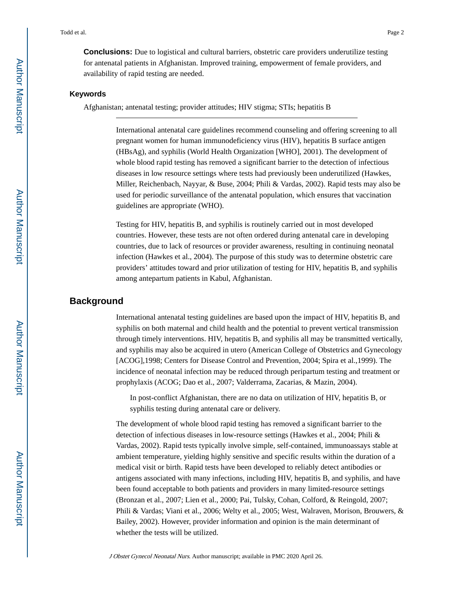**Conclusions:** Due to logistical and cultural barriers, obstetric care providers underutilize testing for antenatal patients in Afghanistan. Improved training, empowerment of female providers, and availability of rapid testing are needed.

#### **Keywords**

Afghanistan; antenatal testing; provider attitudes; HIV stigma; STIs; hepatitis B

International antenatal care guidelines recommend counseling and offering screening to all pregnant women for human immunodeficiency virus (HIV), hepatitis B surface antigen (HBsAg), and syphilis (World Health Organization [WHO], 2001). The development of whole blood rapid testing has removed a significant barrier to the detection of infectious diseases in low resource settings where tests had previously been underutilized (Hawkes, Miller, Reichenbach, Nayyar, & Buse, 2004; Phili & Vardas, 2002). Rapid tests may also be used for periodic surveillance of the antenatal population, which ensures that vaccination guidelines are appropriate (WHO).

Testing for HIV, hepatitis B, and syphilis is routinely carried out in most developed countries. However, these tests are not often ordered during antenatal care in developing countries, due to lack of resources or provider awareness, resulting in continuing neonatal infection (Hawkes et al., 2004). The purpose of this study was to determine obstetric care providers' attitudes toward and prior utilization of testing for HIV, hepatitis B, and syphilis among antepartum patients in Kabul, Afghanistan.

#### **Background**

International antenatal testing guidelines are based upon the impact of HIV, hepatitis B, and syphilis on both maternal and child health and the potential to prevent vertical transmission through timely interventions. HIV, hepatitis B, and syphilis all may be transmitted vertically, and syphilis may also be acquired in utero (American College of Obstetrics and Gynecology [ACOG],1998; Centers for Disease Control and Prevention, 2004; Spira et al.,1999). The incidence of neonatal infection may be reduced through peripartum testing and treatment or prophylaxis (ACOG; Dao et al., 2007; Valderrama, Zacarias, & Mazin, 2004).

In post-conflict Afghanistan, there are no data on utilization of HIV, hepatitis B, or syphilis testing during antenatal care or delivery.

The development of whole blood rapid testing has removed a significant barrier to the detection of infectious diseases in low-resource settings (Hawkes et al., 2004; Phili & Vardas, 2002). Rapid tests typically involve simple, self-contained, immunoassays stable at ambient temperature, yielding highly sensitive and specific results within the duration of a medical visit or birth. Rapid tests have been developed to reliably detect antibodies or antigens associated with many infections, including HIV, hepatitis B, and syphilis, and have been found acceptable to both patients and providers in many limited-resource settings (Bronzan et al., 2007; Lien et al., 2000; Pai, Tulsky, Cohan, Colford, & Reingold, 2007; Phili & Vardas; Viani et al., 2006; Welty et al., 2005; West, Walraven, Morison, Brouwers, & Bailey, 2002). However, provider information and opinion is the main determinant of whether the tests will be utilized.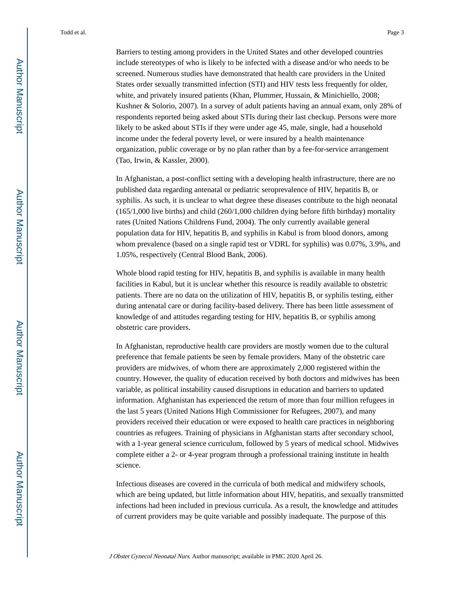Barriers to testing among providers in the United States and other developed countries include stereotypes of who is likely to be infected with a disease and/or who needs to be screened. Numerous studies have demonstrated that health care providers in the United States order sexually transmitted infection (STI) and HIV tests less frequently for older, white, and privately insured patients (Khan, Plummer, Hussain, & Minichiello, 2008; Kushner & Solorio, 2007). In a survey of adult patients having an annual exam, only 28% of respondents reported being asked about STIs during their last checkup. Persons were more likely to be asked about STIs if they were under age 45, male, single, had a household income under the federal poverty level, or were insured by a health maintenance organization, public coverage or by no plan rather than by a fee-for-service arrangement (Tao, Irwin, & Kassler, 2000).

In Afghanistan, a post-conflict setting with a developing health infrastructure, there are no published data regarding antenatal or pediatric seroprevalence of HIV, hepatitis B, or syphilis. As such, it is unclear to what degree these diseases contribute to the high neonatal (165/1,000 live births) and child (260/1,000 children dying before fifth birthday) mortality rates (United Nations Childrens Fund, 2004). The only currently available general population data for HIV, hepatitis B, and syphilis in Kabul is from blood donors, among whom prevalence (based on a single rapid test or VDRL for syphilis) was 0.07%, 3.9%, and 1.05%, respectively (Central Blood Bank, 2006).

Whole blood rapid testing for HIV, hepatitis B, and syphilis is available in many health facilities in Kabul, but it is unclear whether this resource is readily available to obstetric patients. There are no data on the utilization of HIV, hepatitis B, or syphilis testing, either during antenatal care or during facility-based delivery. There has been little assessment of knowledge of and attitudes regarding testing for HIV, hepatitis B, or syphilis among obstetric care providers.

In Afghanistan, reproductive health care providers are mostly women due to the cultural preference that female patients be seen by female providers. Many of the obstetric care providers are midwives, of whom there are approximately 2,000 registered within the country. However, the quality of education received by both doctors and midwives has been variable, as political instability caused disruptions in education and barriers to updated information. Afghanistan has experienced the return of more than four million refugees in the last 5 years (United Nations High Commissioner for Refugees, 2007), and many providers received their education or were exposed to health care practices in neighboring countries as refugees. Training of physicians in Afghanistan starts after secondary school, with a 1-year general science curriculum, followed by 5 years of medical school. Midwives complete either a 2- or 4-year program through a professional training institute in health science.

Infectious diseases are covered in the curricula of both medical and midwifery schools, which are being updated, but little information about HIV, hepatitis, and sexually transmitted infections had been included in previous curricula. As a result, the knowledge and attitudes of current providers may be quite variable and possibly inadequate. The purpose of this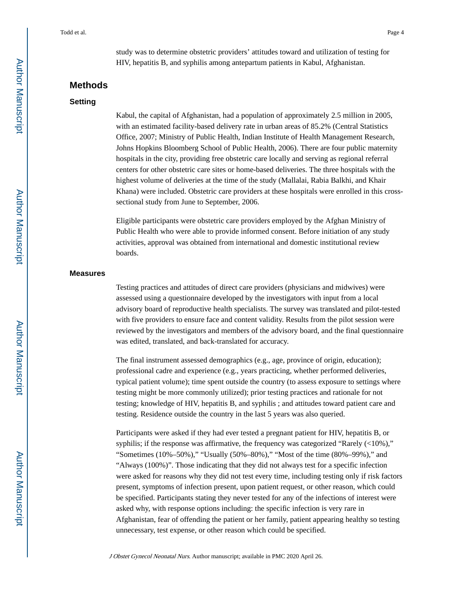study was to determine obstetric providers' attitudes toward and utilization of testing for HIV, hepatitis B, and syphilis among antepartum patients in Kabul, Afghanistan.

#### **Methods**

#### **Setting**

Kabul, the capital of Afghanistan, had a population of approximately 2.5 million in 2005, with an estimated facility-based delivery rate in urban areas of 85.2% (Central Statistics Office, 2007; Ministry of Public Health, Indian Institute of Health Management Research, Johns Hopkins Bloomberg School of Public Health, 2006). There are four public maternity hospitals in the city, providing free obstetric care locally and serving as regional referral centers for other obstetric care sites or home-based deliveries. The three hospitals with the highest volume of deliveries at the time of the study (Mallalai, Rabia Balkhi, and Khair Khana) were included. Obstetric care providers at these hospitals were enrolled in this crosssectional study from June to September, 2006.

Eligible participants were obstetric care providers employed by the Afghan Ministry of Public Health who were able to provide informed consent. Before initiation of any study activities, approval was obtained from international and domestic institutional review boards.

#### **Measures**

Testing practices and attitudes of direct care providers (physicians and midwives) were assessed using a questionnaire developed by the investigators with input from a local advisory board of reproductive health specialists. The survey was translated and pilot-tested with five providers to ensure face and content validity. Results from the pilot session were reviewed by the investigators and members of the advisory board, and the final questionnaire was edited, translated, and back-translated for accuracy.

The final instrument assessed demographics (e.g., age, province of origin, education); professional cadre and experience (e.g., years practicing, whether performed deliveries, typical patient volume); time spent outside the country (to assess exposure to settings where testing might be more commonly utilized); prior testing practices and rationale for not testing; knowledge of HIV, hepatitis B, and syphilis ; and attitudes toward patient care and testing. Residence outside the country in the last 5 years was also queried.

Participants were asked if they had ever tested a pregnant patient for HIV, hepatitis B, or syphilis; if the response was affirmative, the frequency was categorized "Rarely  $\left($  <10%)," "Sometimes (10%–50%)," "Usually (50%–80%)," "Most of the time (80%–99%)," and "Always (100%)". Those indicating that they did not always test for a specific infection were asked for reasons why they did not test every time, including testing only if risk factors present, symptoms of infection present, upon patient request, or other reason, which could be specified. Participants stating they never tested for any of the infections of interest were asked why, with response options including: the specific infection is very rare in Afghanistan, fear of offending the patient or her family, patient appearing healthy so testing unnecessary, test expense, or other reason which could be specified.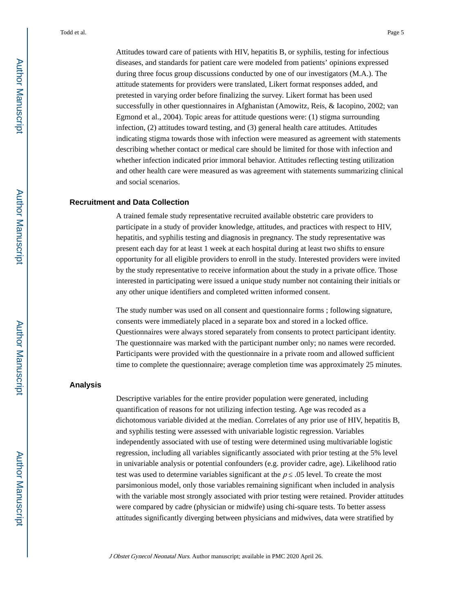Attitudes toward care of patients with HIV, hepatitis B, or syphilis, testing for infectious diseases, and standards for patient care were modeled from patients' opinions expressed during three focus group discussions conducted by one of our investigators (M.A.). The attitude statements for providers were translated, Likert format responses added, and pretested in varying order before finalizing the survey. Likert format has been used successfully in other questionnaires in Afghanistan (Amowitz, Reis, & Iacopino, 2002; van Egmond et al., 2004). Topic areas for attitude questions were: (1) stigma surrounding infection, (2) attitudes toward testing, and (3) general health care attitudes. Attitudes indicating stigma towards those with infection were measured as agreement with statements describing whether contact or medical care should be limited for those with infection and whether infection indicated prior immoral behavior. Attitudes reflecting testing utilization and other health care were measured as was agreement with statements summarizing clinical and social scenarios.

#### **Recruitment and Data Collection**

A trained female study representative recruited available obstetric care providers to participate in a study of provider knowledge, attitudes, and practices with respect to HIV, hepatitis, and syphilis testing and diagnosis in pregnancy. The study representative was present each day for at least 1 week at each hospital during at least two shifts to ensure opportunity for all eligible providers to enroll in the study. Interested providers were invited by the study representative to receive information about the study in a private office. Those interested in participating were issued a unique study number not containing their initials or any other unique identifiers and completed written informed consent.

The study number was used on all consent and questionnaire forms ; following signature, consents were immediately placed in a separate box and stored in a locked office. Questionnaires were always stored separately from consents to protect participant identity. The questionnaire was marked with the participant number only; no names were recorded. Participants were provided with the questionnaire in a private room and allowed sufficient time to complete the questionnaire; average completion time was approximately 25 minutes.

#### **Analysis**

Descriptive variables for the entire provider population were generated, including quantification of reasons for not utilizing infection testing. Age was recoded as a dichotomous variable divided at the median. Correlates of any prior use of HIV, hepatitis B, and syphilis testing were assessed with univariable logistic regression. Variables independently associated with use of testing were determined using multivariable logistic regression, including all variables significantly associated with prior testing at the 5% level in univariable analysis or potential confounders (e.g. provider cadre, age). Likelihood ratio test was used to determine variables significant at the  $p$  . 05 level. To create the most parsimonious model, only those variables remaining significant when included in analysis with the variable most strongly associated with prior testing were retained. Provider attitudes were compared by cadre (physician or midwife) using chi-square tests. To better assess attitudes significantly diverging between physicians and midwives, data were stratified by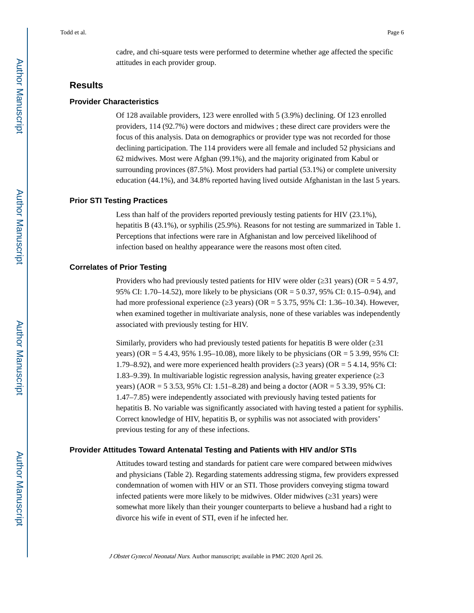cadre, and chi-square tests were performed to determine whether age affected the specific attitudes in each provider group.

#### **Results**

#### **Provider Characteristics**

Of 128 available providers, 123 were enrolled with 5 (3.9%) declining. Of 123 enrolled providers, 114 (92.7%) were doctors and midwives ; these direct care providers were the focus of this analysis. Data on demographics or provider type was not recorded for those declining participation. The 114 providers were all female and included 52 physicians and 62 midwives. Most were Afghan (99.1%), and the majority originated from Kabul or surrounding provinces (87.5%). Most providers had partial (53.1%) or complete university education (44.1%), and 34.8% reported having lived outside Afghanistan in the last 5 years.

#### **Prior STI Testing Practices**

Less than half of the providers reported previously testing patients for HIV (23.1%), hepatitis B (43.1%), or syphilis (25.9%). Reasons for not testing are summarized in Table 1. Perceptions that infections were rare in Afghanistan and low perceived likelihood of infection based on healthy appearance were the reasons most often cited.

#### **Correlates of Prior Testing**

Providers who had previously tested patients for HIV were older ( $\overline{31}$  years) (OR = 5 4.97, 95% CI: 1.70–14.52), more likely to be physicians (OR = 5 0.37, 95% CI: 0.15–0.94), and had more professional experience ( $\overline{3}$  years) (OR = 5 3.75, 95% CI: 1.36–10.34). However, when examined together in multivariate analysis, none of these variables was independently associated with previously testing for HIV.

Similarly, providers who had previously tested patients for hepatitis B were older ( $\overline{31}$ years) (OR = 5 4.43, 95% 1.95–10.08), more likely to be physicians (OR = 5 3.99, 95% CI: 1.79–8.92), and were more experienced health providers ( $\overline{3}$  years) (OR = 5 4.14, 95% CI: 1.83–9.39). In multivariable logistic regression analysis, having greater experience (≥3 years) (AOR = 5 3.53, 95% CI: 1.51–8.28) and being a doctor (AOR = 5 3.39, 95% CI: 1.47–7.85) were independently associated with previously having tested patients for hepatitis B. No variable was significantly associated with having tested a patient for syphilis. Correct knowledge of HIV, hepatitis B, or syphilis was not associated with providers' previous testing for any of these infections.

#### **Provider Attitudes Toward Antenatal Testing and Patients with HIV and/or STIs**

Attitudes toward testing and standards for patient care were compared between midwives and physicians (Table 2). Regarding statements addressing stigma, few providers expressed condemnation of women with HIV or an STI. Those providers conveying stigma toward infected patients were more likely to be midwives. Older midwives ( $\overline{31}$  years) were somewhat more likely than their younger counterparts to believe a husband had a right to divorce his wife in event of STI, even if he infected her.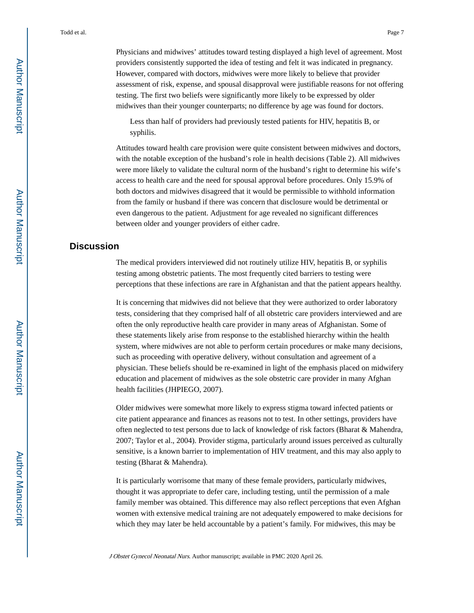Physicians and midwives' attitudes toward testing displayed a high level of agreement. Most providers consistently supported the idea of testing and felt it was indicated in pregnancy. However, compared with doctors, midwives were more likely to believe that provider assessment of risk, expense, and spousal disapproval were justifiable reasons for not offering testing. The first two beliefs were significantly more likely to be expressed by older midwives than their younger counterparts; no difference by age was found for doctors.

Less than half of providers had previously tested patients for HIV, hepatitis B, or syphilis.

Attitudes toward health care provision were quite consistent between midwives and doctors, with the notable exception of the husband's role in health decisions (Table 2). All midwives were more likely to validate the cultural norm of the husband's right to determine his wife's access to health care and the need for spousal approval before procedures. Only 15.9% of both doctors and midwives disagreed that it would be permissible to withhold information from the family or husband if there was concern that disclosure would be detrimental or even dangerous to the patient. Adjustment for age revealed no significant differences between older and younger providers of either cadre.

#### **Discussion**

The medical providers interviewed did not routinely utilize HIV, hepatitis B, or syphilis testing among obstetric patients. The most frequently cited barriers to testing were perceptions that these infections are rare in Afghanistan and that the patient appears healthy.

It is concerning that midwives did not believe that they were authorized to order laboratory tests, considering that they comprised half of all obstetric care providers interviewed and are often the only reproductive health care provider in many areas of Afghanistan. Some of these statements likely arise from response to the established hierarchy within the health system, where midwives are not able to perform certain procedures or make many decisions, such as proceeding with operative delivery, without consultation and agreement of a physician. These beliefs should be re-examined in light of the emphasis placed on midwifery education and placement of midwives as the sole obstetric care provider in many Afghan health facilities (JHPIEGO, 2007).

Older midwives were somewhat more likely to express stigma toward infected patients or cite patient appearance and finances as reasons not to test. In other settings, providers have often neglected to test persons due to lack of knowledge of risk factors (Bharat & Mahendra, 2007; Taylor et al., 2004). Provider stigma, particularly around issues perceived as culturally sensitive, is a known barrier to implementation of HIV treatment, and this may also apply to testing (Bharat & Mahendra).

It is particularly worrisome that many of these female providers, particularly midwives, thought it was appropriate to defer care, including testing, until the permission of a male family member was obtained. This difference may also reflect perceptions that even Afghan women with extensive medical training are not adequately empowered to make decisions for which they may later be held accountable by a patient's family. For midwives, this may be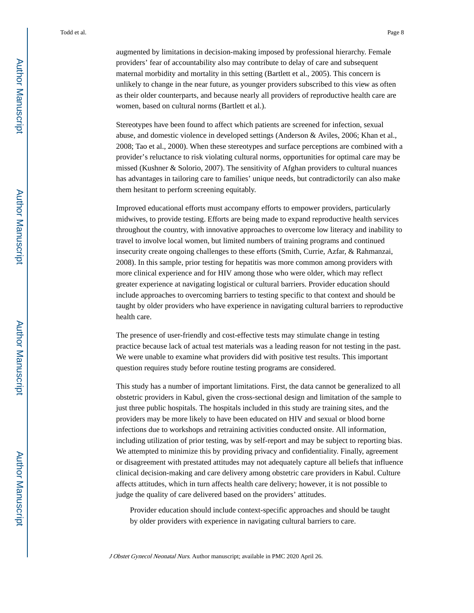augmented by limitations in decision-making imposed by professional hierarchy. Female providers' fear of accountability also may contribute to delay of care and subsequent maternal morbidity and mortality in this setting (Bartlett et al., 2005). This concern is unlikely to change in the near future, as younger providers subscribed to this view as often as their older counterparts, and because nearly all providers of reproductive health care are women, based on cultural norms (Bartlett et al.).

Stereotypes have been found to affect which patients are screened for infection, sexual abuse, and domestic violence in developed settings (Anderson & Aviles, 2006; Khan et al., 2008; Tao et al., 2000). When these stereotypes and surface perceptions are combined with a provider's reluctance to risk violating cultural norms, opportunities for optimal care may be missed (Kushner & Solorio, 2007). The sensitivity of Afghan providers to cultural nuances has advantages in tailoring care to families' unique needs, but contradictorily can also make them hesitant to perform screening equitably.

Improved educational efforts must accompany efforts to empower providers, particularly midwives, to provide testing. Efforts are being made to expand reproductive health services throughout the country, with innovative approaches to overcome low literacy and inability to travel to involve local women, but limited numbers of training programs and continued insecurity create ongoing challenges to these efforts (Smith, Currie, Azfar, & Rahmanzai, 2008). In this sample, prior testing for hepatitis was more common among providers with more clinical experience and for HIV among those who were older, which may reflect greater experience at navigating logistical or cultural barriers. Provider education should include approaches to overcoming barriers to testing specific to that context and should be taught by older providers who have experience in navigating cultural barriers to reproductive health care.

The presence of user-friendly and cost-effective tests may stimulate change in testing practice because lack of actual test materials was a leading reason for not testing in the past. We were unable to examine what providers did with positive test results. This important question requires study before routine testing programs are considered.

This study has a number of important limitations. First, the data cannot be generalized to all obstetric providers in Kabul, given the cross-sectional design and limitation of the sample to just three public hospitals. The hospitals included in this study are training sites, and the providers may be more likely to have been educated on HIV and sexual or blood borne infections due to workshops and retraining activities conducted onsite. All information, including utilization of prior testing, was by self-report and may be subject to reporting bias. We attempted to minimize this by providing privacy and confidentiality. Finally, agreement or disagreement with prestated attitudes may not adequately capture all beliefs that influence clinical decision-making and care delivery among obstetric care providers in Kabul. Culture affects attitudes, which in turn affects health care delivery; however, it is not possible to judge the quality of care delivered based on the providers' attitudes.

Provider education should include context-specific approaches and should be taught by older providers with experience in navigating cultural barriers to care.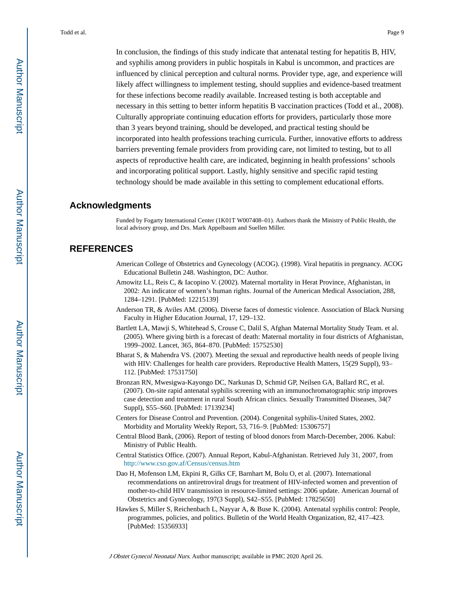In conclusion, the findings of this study indicate that antenatal testing for hepatitis B, HIV, and syphilis among providers in public hospitals in Kabul is uncommon, and practices are influenced by clinical perception and cultural norms. Provider type, age, and experience will likely affect willingness to implement testing, should supplies and evidence-based treatment for these infections become readily available. Increased testing is both acceptable and necessary in this setting to better inform hepatitis B vaccination practices (Todd et al., 2008). Culturally appropriate continuing education efforts for providers, particularly those more than 3 years beyond training, should be developed, and practical testing should be incorporated into health professions teaching curricula. Further, innovative efforts to address barriers preventing female providers from providing care, not limited to testing, but to all aspects of reproductive health care, are indicated, beginning in health professions' schools and incorporating political support. Lastly, highly sensitive and specific rapid testing technology should be made available in this setting to complement educational efforts.

#### **Acknowledgments**

Funded by Fogarty International Center (1K01T W007408–01). Authors thank the Ministry of Public Health, the local advisory group, and Drs. Mark Appelbaum and Suellen Miller.

#### **REFERENCES**

- American College of Obstetrics and Gynecology (ACOG). (1998). Viral hepatitis in pregnancy. ACOG Educational Bulletin 248. Washington, DC: Author.
- Amowitz LL, Reis C, & Iacopino V. (2002). Maternal mortality in Herat Province, Afghanistan, in 2002: An indicator of women's human rights. Journal of the American Medical Association, 288, 1284–1291. [PubMed: 12215139]
- Anderson TR, & Aviles AM. (2006). Diverse faces of domestic violence. Association of Black Nursing Faculty in Higher Education Journal, 17, 129–132.
- Bartlett LA, Mawji S, Whitehead S, Crouse C, Dalil S, Afghan Maternal Mortality Study Team. et al. (2005). Where giving birth is a forecast of death: Maternal mortality in four districts of Afghanistan, 1999–2002. Lancet, 365, 864–870. [PubMed: 15752530]
- Bharat S, & Mahendra VS. (2007). Meeting the sexual and reproductive health needs of people living with HIV: Challenges for health care providers. Reproductive Health Matters, 15(29 Suppl), 93– 112. [PubMed: 17531750]
- Bronzan RN, Mwesigwa-Kayongo DC, Narkunas D, Schmid GP, Neilsen GA, Ballard RC, et al. (2007). On-site rapid antenatal syphilis screening with an immunochromatographic strip improves case detection and treatment in rural South African clinics. Sexually Transmitted Diseases, 34(7 Suppl), S55–S60. [PubMed: 17139234]
- Centers for Disease Control and Prevention. (2004). Congenital syphilis-United States, 2002. Morbidity and Mortality Weekly Report, 53, 716–9. [PubMed: 15306757]
- Central Blood Bank, (2006). Report of testing of blood donors from March-December, 2006. Kabul: Ministry of Public Health.
- Central Statistics Office. (2007). Annual Report, Kabul-Afghanistan. Retrieved July 31, 2007, from <http://www.cso.gov.af/Census/census.htm>
- Dao H, Mofenson LM, Ekpini R, Gilks CF, Barnhart M, Bolu O, et al. (2007). International recommendations on antiretroviral drugs for treatment of HIV-infected women and prevention of mother-to-child HIV transmission in resource-limited settings: 2006 update. American Journal of Obstetrics and Gynecology, 197(3 Suppl), S42–S55. [PubMed: 17825650]
- Hawkes S, Miller S, Reichenbach L, Nayyar A, & Buse K. (2004). Antenatal syphilis control: People, programmes, policies, and politics. Bulletin of the World Health Organization, 82, 417–423. [PubMed: 15356933]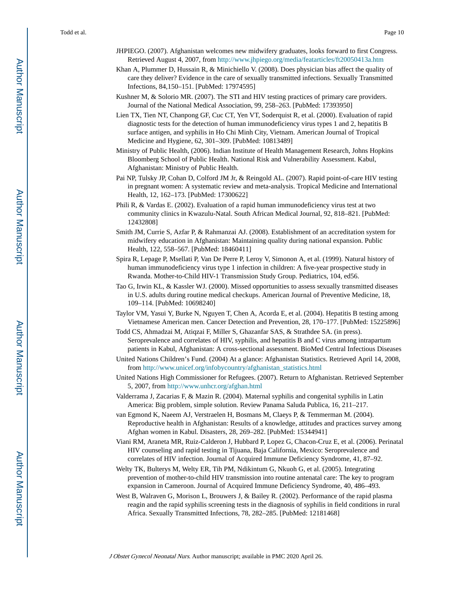- JHPIEGO. (2007). Afghanistan welcomes new midwifery graduates, looks forward to first Congress. Retrieved August 4, 2007, from<http://www.jhpiego.org/media/featarticles/ft20050413a.htm>
- Khan A, Plummer D, Hussain R, & Minichiello V. (2008). Does physician bias affect the quality of care they deliver? Evidence in the care of sexually transmitted infections. Sexually Transmitted Infections, 84,150–151. [PubMed: 17974595]
- Kushner M, & Solorio MR. (2007). The STI and HIV testing practices of primary care providers. Journal of the National Medical Association, 99, 258–263. [PubMed: 17393950]
- Lien TX, Tien NT, Chanpong GF, Cuc CT, Yen VT, Soderquist R, et al. (2000). Evaluation of rapid diagnostic tests for the detection of human immunodeficiency virus types 1 and 2, hepatitis B surface antigen, and syphilis in Ho Chi Minh City, Vietnam. American Journal of Tropical Medicine and Hygiene, 62, 301–309. [PubMed: 10813489]
- Ministry of Public Health, (2006). Indian Institute of Health Management Research, Johns Hopkins Bloomberg School of Public Health. National Risk and Vulnerability Assessment. Kabul, Afghanistan: Ministry of Public Health.
- Pai NP, Tulsky JP, Cohan D, Colford JM Jr, & Reingold AL. (2007). Rapid point-of-care HIV testing in pregnant women: A systematic review and meta-analysis. Tropical Medicine and International Health, 12, 162–173. [PubMed: 17300622]
- Phili R, & Vardas E. (2002). Evaluation of a rapid human immunodeficiency virus test at two community clinics in Kwazulu-Natal. South African Medical Journal, 92, 818–821. [PubMed: 12432808]
- Smith JM, Currie S, Azfar P, & Rahmanzai AJ. (2008). Establishment of an accreditation system for midwifery education in Afghanistan: Maintaining quality during national expansion. Public Health, 122, 558–567. [PubMed: 18460411]
- Spira R, Lepage P, Msellati P, Van De Perre P, Leroy V, Simonon A, et al. (1999). Natural history of human immunodeficiency virus type 1 infection in children: A five-year prospective study in Rwanda. Mother-to-Child HIV-1 Transmission Study Group. Pediatrics, 104, ed56.
- Tao G, Irwin KL, & Kassler WJ. (2000). Missed opportunities to assess sexually transmitted diseases in U.S. adults during routine medical checkups. American Journal of Preventive Medicine, 18, 109–114. [PubMed: 10698240]
- Taylor VM, Yasui Y, Burke N, Nguyen T, Chen A, Acorda E, et al. (2004). Hepatitis B testing among Vietnamese American men. Cancer Detection and Prevention, 28, 170–177. [PubMed: 15225896]
- Todd CS, Ahmadzai M, Atiqzai F, Miller S, Ghazanfar SAS, & Strathdee SA. (in press). Seroprevalence and correlates of HIV, syphilis, and hepatitis B and C virus among intrapartum patients in Kabul, Afghanistan: A cross-sectional assessment. BioMed Central Infectious Diseases
- United Nations Children's Fund. (2004) At a glance: Afghanistan Statistics. Retrieved April 14, 2008, from [http://www.unicef.org/infobycountry/afghanistan\\_statistics.html](http://www.unicef.org/infobycountry/afghanistan_statistics.html)
- United Nations High Commissioner for Refugees. (2007). Return to Afghanistan. Retrieved September 5, 2007, from<http://www.unhcr.org/afghan.html>
- Valderrama J, Zacarias F, & Mazin R. (2004). Maternal syphilis and congenital syphilis in Latin America: Big problem, simple solution. Review Panama Saluda Publica, 16, 211–217.
- van Egmond K, Naeem AJ, Verstraelen H, Bosmans M, Claeys P, & Temmerman M. (2004). Reproductive health in Afghanistan: Results of a knowledge, attitudes and practices survey among Afghan women in Kabul. Disasters, 28, 269–282. [PubMed: 15344941]
- Viani RM, Araneta MR, Ruiz-Calderon J, Hubbard P, Lopez G, Chacon-Cruz E, et al. (2006). Perinatal HIV counseling and rapid testing in Tijuana, Baja California, Mexico: Seroprevalence and correlates of HIV infection. Journal of Acquired Immune Deficiency Syndrome, 41, 87–92.
- Welty TK, Bulterys M, Welty ER, Tih PM, Ndikintum G, Nkuoh G, et al. (2005). Integrating prevention of mother-to-child HIV transmission into routine antenatal care: The key to program expansion in Cameroon. Journal of Acquired Immune Deficiency Syndrome, 40, 486–493.
- West B, Walraven G, Morison L, Brouwers J, & Bailey R. (2002). Performance of the rapid plasma reagin and the rapid syphilis screening tests in the diagnosis of syphilis in field conditions in rural Africa. Sexually Transmitted Infections, 78, 282–285. [PubMed: 12181468]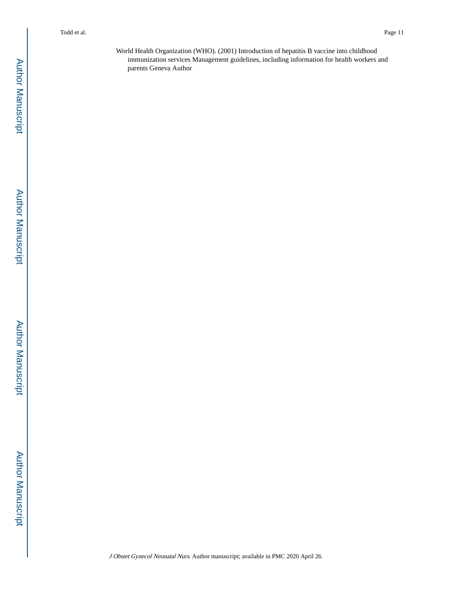World Health Organization (WHO). (2001) Introduction of hepatitis B vaccine into childhood immunization services Management guidelines, including information for health workers and parents Geneva Author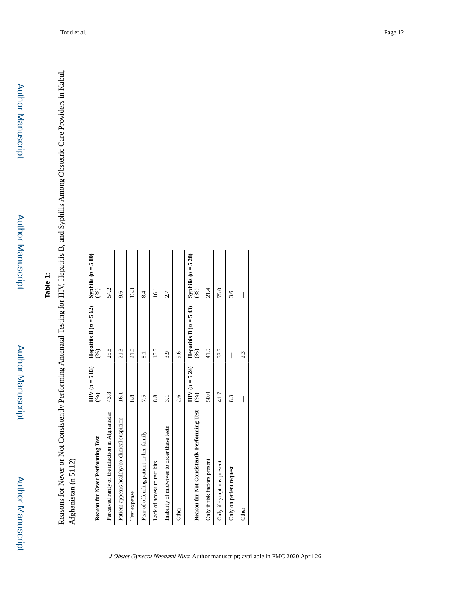Author Manuscript

**Author Manuscript** 

## **Table 1:**

Reasons for Never or Not Consistently Performing Antenatal Testing for HIV, Hepatitis B, and Syphilis Among Obstetric Care Providers in Kabul, Reasons for Never or Not Consistently Performing Antenatal Testing for HIV, Hepatitis B, and Syphilis Among Obstetric Care Providers in Kabul, Afghanistan (n 5112) Afghanistan (n 5112)

| Reason for Never Performing Test                 | $HIV (n = 5 83)$<br>$\mathcal{S}$ | Hepatitis B $(n = 562)$<br>$\mathcal{S}^{(0)}$      | Syphilis $(n = 5 80)$<br>$\mathcal{S}(\mathcal{C})$ |
|--------------------------------------------------|-----------------------------------|-----------------------------------------------------|-----------------------------------------------------|
| Perceived rarity of the infection in Afghanistan | 43.8                              | 25.8                                                | 54.2                                                |
| Patient appears healthy/no clinical suspicion    | $\overline{5}$                    | 21.3                                                | 9.6                                                 |
| Test expense                                     | 8.8                               | 21.0                                                | 13.3                                                |
| Fear of offending patient or her family          | 7.5                               | ವ                                                   | $\frac{84}{3}$                                      |
| Lack of access to test kits                      | 8.8                               | 15.5                                                | $\overline{5}$                                      |
| Inability of midwives to order these tests       | 51                                | 3.9                                                 | 2.7                                                 |
| Other                                            | 2.6                               | 9.6                                                 |                                                     |
| Reason for Not Consistently Performing Test      | $HIV (n = 5 24)$<br>$\mathcal{E}$ | Hepatitis B $(n = 5 43)$<br>$\widehat{\mathcal{E}}$ | Syphilis $(n = 528)$<br>$\mathcal{E}(\mathcal{E})$  |
| Only if risk factors present                     | 50.0                              | 41.9                                                | 21.4                                                |
| Only if symptoms present                         | 41.7                              | 53.5                                                | 75.0                                                |
| Only on patient request                          | 8.3                               |                                                     | 3.6                                                 |
| Other                                            |                                   | 2.3                                                 |                                                     |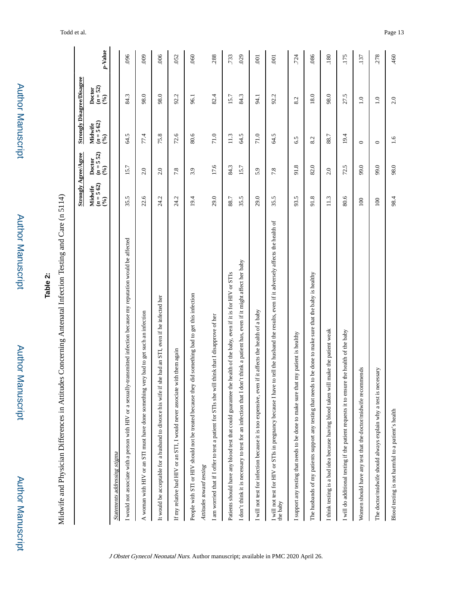|                                                                                                                                                                                                                                             | <b>Strongly Agree/Agree</b>    |                              |                                | <b>Strongly Disagree/Disagree</b> |                |
|---------------------------------------------------------------------------------------------------------------------------------------------------------------------------------------------------------------------------------------------|--------------------------------|------------------------------|--------------------------------|-----------------------------------|----------------|
|                                                                                                                                                                                                                                             | $(n = 5 62)$<br>(%)<br>Midwife | 52)<br>Doctor<br>$(n = 5.5)$ | $(n = 5 62)$<br>(%)<br>Midwife | Doctor<br>$(n = 52)$<br>$(96)$    | p-Value        |
| Statements addressing stigma                                                                                                                                                                                                                |                                |                              |                                |                                   |                |
| I would not associate with a person with HIV or a sexually-transmitted infection because my reputation would be affected                                                                                                                    | 35.5                           | 15.7                         | 64.5                           | 84.3                              | 096            |
| A woman with HIV or an STI must have done something very bad to get such an infection                                                                                                                                                       | 22.6                           | 2.0                          | 77.4                           | 98.0                              | 600            |
| e if she had an STI, even if he infected her<br>It would be acceptable for a husband to divorce his wif                                                                                                                                     | 24.2                           | 2.0                          | 75.8                           | 98.0                              | 006            |
| If my relative had HIV or an STI, I would never associate with them again                                                                                                                                                                   | 24.2                           | 7.8                          | 72.6                           | 92.2                              | 052            |
| People with STI or HIV should not be treated because they did something bad to get this infection                                                                                                                                           | 19.4                           | 3.9                          | 80.6                           | 96.1                              | 060            |
| I am worried that if I offer to test a patient for STIs she will think that I disapprove of her<br>Attitudes toward testing                                                                                                                 | 29.0                           | 17.6                         | 71.0                           | 82.4                              | .288           |
| I don't think it is necessary to test for an infection that I don't think a patient has, even if it might affect her baby<br>Patients should have any blood test that could guarantee the health of the baby, even if it is for HIV or STIs | 35.5<br>88.7                   | 84.3<br>15.7                 | 64.5<br>11.3                   | 84.3<br>15.7                      | .733<br>029    |
| even if it affects the health of a baby<br>I will not test for infection because it is too expensive,                                                                                                                                       | 29.0                           | 5.9                          | 71.0                           | 94.1                              | $\overline{0}$ |
| have to tell the husband the results, even if it adversely affects the health of<br>I will not test for HIV or STIs in pregnancy because I<br>the baby                                                                                      | 35.5                           | 7.8                          | 64.5                           | 92.2                              | $\overline{0}$ |
| I support any testing that needs to be done to make sure that my patient is healthy                                                                                                                                                         | 93.5                           | 91.8                         | 6.5                            | 8.2                               | 724            |
| The husbands of my patients support any testing that needs to be done to make sure that the baby is healthy                                                                                                                                 | 91.8                           | 82.0                         | 8.2                            | 18.0                              | 086            |
| I think testing is a bad idea because having blood taken will make the patient weak                                                                                                                                                         | 11.3                           | 2.0                          | 88.7                           | 98.0                              | .180           |
| I will do additional testing if the patient requests it to ensure the health of the baby                                                                                                                                                    | 80.6                           | 72.5                         | 19.4                           | 27.5                              | 175            |
| Women should have any test that the doctor/midwife recommends                                                                                                                                                                               | 100                            | 99.0                         | $\circ$                        | $\overline{1.0}$                  | .137           |
| is necessary<br>The doctor/midwife should always explain why a test                                                                                                                                                                         | 100                            | 99.0                         | $\circ$                        | $\overline{1.0}$                  | 278            |
| Blood testing is not harmful to a patient's health                                                                                                                                                                                          | 98.4                           | 98.0                         | 1.6                            | 2.0                               | 460            |

Author Manuscript

**Author Manuscript** 

Author Manuscript

**Author Manuscript** 

# **Table 2:**

Midwife and Physician Differences in Attitudes Concerning Antenatal Infection Testing and Care (n 5114) Midwife and Physician Differences in Attitudes Concerning Antenatal Infection Testing and Care (n 5114)